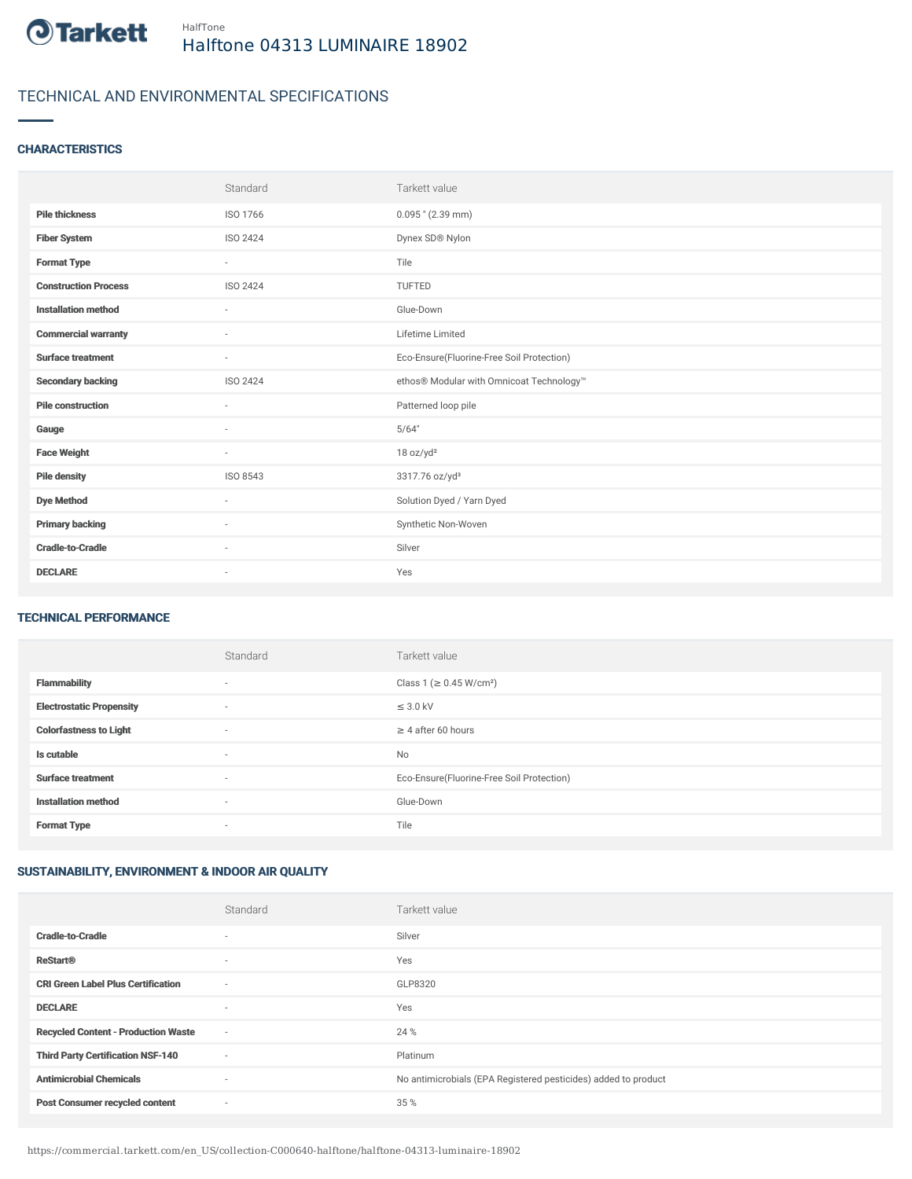

# TECHNICAL AND ENVIRONMENTAL SPECIFICATIONS

### **CHARACTERISTICS**

|                             | Standard                 | Tarkett value                             |
|-----------------------------|--------------------------|-------------------------------------------|
| <b>Pile thickness</b>       | ISO 1766                 | $0.095$ " (2.39 mm)                       |
| <b>Fiber System</b>         | ISO 2424                 | Dynex SD® Nylon                           |
| <b>Format Type</b>          | $\sim$                   | Tile                                      |
| <b>Construction Process</b> | ISO 2424                 | TUFTED                                    |
| <b>Installation method</b>  | $\sim$                   | Glue-Down                                 |
| <b>Commercial warranty</b>  | ٠                        | Lifetime Limited                          |
| <b>Surface treatment</b>    | $\sim$                   | Eco-Ensure(Fluorine-Free Soil Protection) |
| <b>Secondary backing</b>    | ISO 2424                 | ethos® Modular with Omnicoat Technology™  |
| <b>Pile construction</b>    | $\sim$                   | Patterned loop pile                       |
| Gauge                       | ٠                        | 5/64"                                     |
| <b>Face Weight</b>          | $\sim$                   | 18 oz/yd <sup>2</sup>                     |
| <b>Pile density</b>         | ISO 8543                 | 3317.76 oz/yd <sup>3</sup>                |
| <b>Dye Method</b>           | ٠                        | Solution Dyed / Yarn Dyed                 |
| <b>Primary backing</b>      | ٠                        | Synthetic Non-Woven                       |
| <b>Cradle-to-Cradle</b>     | ٠                        | Silver                                    |
| <b>DECLARE</b>              | $\overline{\phantom{a}}$ | Yes                                       |

#### TECHNICAL PERFORMANCE

|                                 | Standard                 | Tarkett value                             |
|---------------------------------|--------------------------|-------------------------------------------|
| <b>Flammability</b>             | ۰                        | Class 1 (≥ 0.45 W/cm <sup>2</sup> )       |
| <b>Electrostatic Propensity</b> | $\sim$                   | $\leq$ 3.0 kV                             |
| <b>Colorfastness to Light</b>   | ۰                        | $\geq 4$ after 60 hours                   |
| Is cutable                      | $\sim$                   | No                                        |
| <b>Surface treatment</b>        | $\sim$                   | Eco-Ensure(Fluorine-Free Soil Protection) |
| <b>Installation method</b>      | $\overline{\phantom{a}}$ | Glue-Down                                 |
| <b>Format Type</b>              | $\sim$                   | Tile                                      |

## SUSTAINABILITY, ENVIRONMENT & INDOOR AIR QUALITY

|                                            | Standard                 | Tarkett value                                                  |
|--------------------------------------------|--------------------------|----------------------------------------------------------------|
| <b>Cradle-to-Cradle</b>                    |                          | Silver                                                         |
| <b>ReStart®</b>                            | $\overline{\phantom{a}}$ | Yes                                                            |
| <b>CRI Green Label Plus Certification</b>  | $\sim$                   | GLP8320                                                        |
| <b>DECLARE</b>                             | $\overline{\phantom{a}}$ | Yes                                                            |
| <b>Recycled Content - Production Waste</b> | $\sim$                   | 24 %                                                           |
| <b>Third Party Certification NSF-140</b>   | $\sim$                   | Platinum                                                       |
| <b>Antimicrobial Chemicals</b>             | $\sim$                   | No antimicrobials (EPA Registered pesticides) added to product |
| <b>Post Consumer recycled content</b>      | $\overline{\phantom{a}}$ | 35 %                                                           |